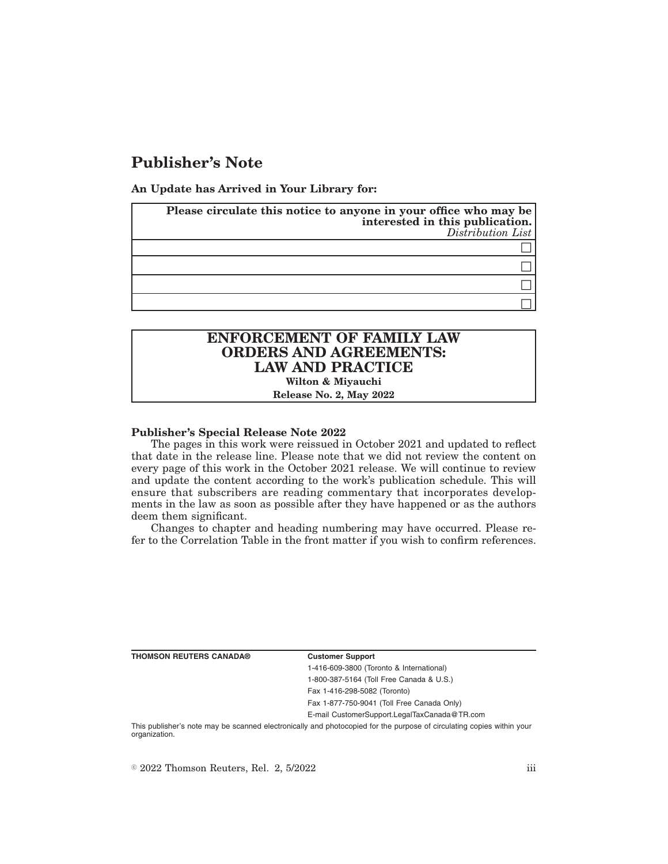# **Publisher's Note**

**An Update has Arrived in Your Library for:**

| Please circulate this notice to anyone in your office who may be<br>interested in this publication.<br>Distribution List |
|--------------------------------------------------------------------------------------------------------------------------|
|                                                                                                                          |
|                                                                                                                          |
|                                                                                                                          |
|                                                                                                                          |

# **ENFORCEMENT OF FAMILY LAW ORDERS AND AGREEMENTS: LAW AND PRACTICE**

**Wilton & Miyauchi**

**Release No. 2, May 2022**

### **Publisher's Special Release Note 2022**

The pages in this work were reissued in October 2021 and updated to reflect that date in the release line. Please note that we did not review the content on every page of this work in the October 2021 release. We will continue to review and update the content according to the work's publication schedule. This will ensure that subscribers are reading commentary that incorporates developments in the law as soon as possible after they have happened or as the authors deem them significant.

Changes to chapter and heading numbering may have occurred. Please refer to the Correlation Table in the front matter if you wish to confirm references.

**THOMSON REUTERS CANADA® Customer Support**

1-416-609-3800 (Toronto & International) 1-800-387-5164 (Toll Free Canada & U.S.) Fax 1-416-298-5082 (Toronto)

Fax 1-877-750-9041 (Toll Free Canada Only)

E-mail CustomerSupport.LegalTaxCanada@TR.com

This publisher's note may be scanned electronically and photocopied for the purpose of circulating copies within your organization.

 $\degree$  2022 Thomson Reuters, Rel. 2, 5/2022 iii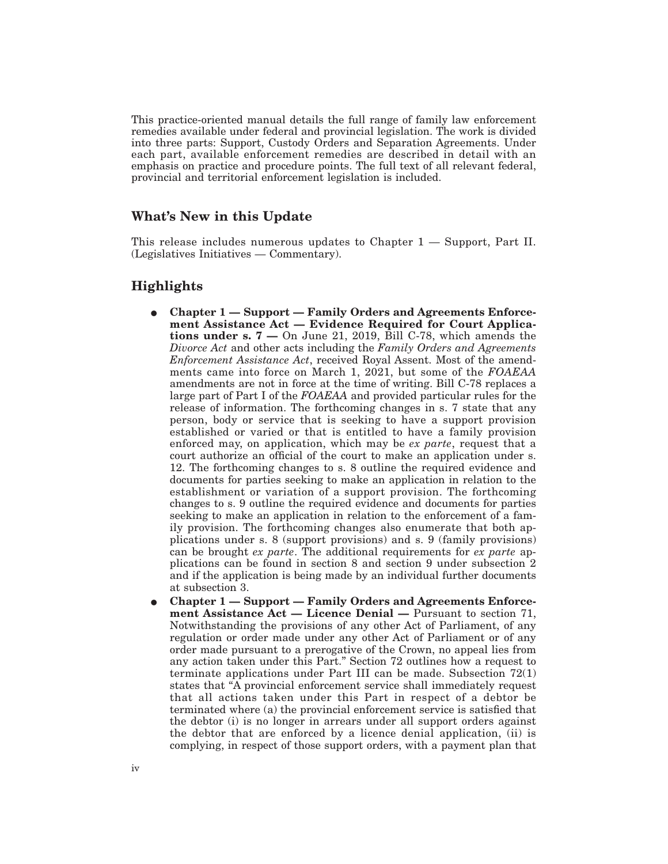This practice-oriented manual details the full range of family law enforcement remedies available under federal and provincial legislation. The work is divided into three parts: Support, Custody Orders and Separation Agreements. Under each part, available enforcement remedies are described in detail with an emphasis on practice and procedure points. The full text of all relevant federal, provincial and territorial enforcement legislation is included.

## **What's New in this Update**

This release includes numerous updates to Chapter 1 — Support, Part II. (Legislatives Initiatives — Commentary).

## **Highlights**

- Chapter 1 Support Family Orders and Agreements Enforce**ment Assistance Act — Evidence Required for Court Applications under s. 7 —** On June 21, 2019, Bill C-78, which amends the *Divorce Act* and other acts including the *Family Orders and Agreements Enforcement Assistance Act*, received Royal Assent. Most of the amendments came into force on March 1, 2021, but some of the *FOAEAA* amendments are not in force at the time of writing. Bill C-78 replaces a large part of Part I of the *FOAEAA* and provided particular rules for the release of information. The forthcoming changes in s. 7 state that any person, body or service that is seeking to have a support provision established or varied or that is entitled to have a family provision enforced may, on application, which may be *ex parte*, request that a court authorize an official of the court to make an application under s. 12. The forthcoming changes to s. 8 outline the required evidence and documents for parties seeking to make an application in relation to the establishment or variation of a support provision. The forthcoming changes to s. 9 outline the required evidence and documents for parties seeking to make an application in relation to the enforcement of a family provision. The forthcoming changes also enumerate that both applications under s. 8 (support provisions) and s. 9 (family provisions) can be brought *ex parte*. The additional requirements for *ex parte* applications can be found in section 8 and section 9 under subsection 2 and if the application is being made by an individual further documents at subsection 3.
- E **Chapter 1 Support Family Orders and Agreements Enforcement Assistance Act — Licence Denial —** Pursuant to section 71, Notwithstanding the provisions of any other Act of Parliament, of any regulation or order made under any other Act of Parliament or of any order made pursuant to a prerogative of the Crown, no appeal lies from any action taken under this Part." Section 72 outlines how a request to terminate applications under Part III can be made. Subsection 72(1) states that "A provincial enforcement service shall immediately request that all actions taken under this Part in respect of a debtor be terminated where (a) the provincial enforcement service is satisfied that the debtor (i) is no longer in arrears under all support orders against the debtor that are enforced by a licence denial application, (ii) is complying, in respect of those support orders, with a payment plan that